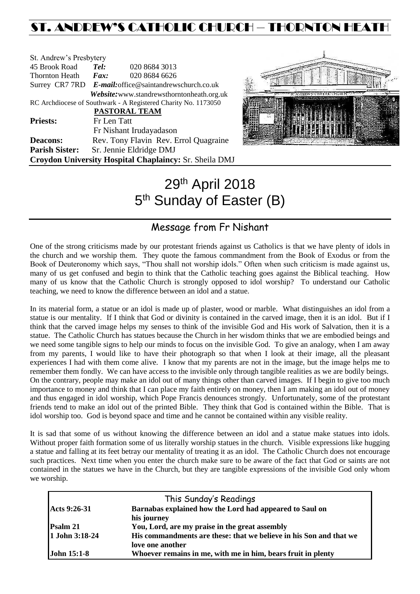## ST. ANDREW'S CATHOLIC CHURCH – THORNTON HEAT

| St. Andrew's Presbytery                                        |                                                        |                                            |  |  |
|----------------------------------------------------------------|--------------------------------------------------------|--------------------------------------------|--|--|
| 45 Brook Road                                                  | Tel:                                                   | 020 8684 3013                              |  |  |
| <b>Thornton Heath</b>                                          | $\boldsymbol{F}$ <i>ax</i> :                           | 020 8684 6626                              |  |  |
|                                                                | Surrey CR7 7RD E-mail: office@saintandrewschurch.co.uk |                                            |  |  |
|                                                                |                                                        | Website: www.standrewsthorntonheath.org.uk |  |  |
| RC Archdiocese of Southwark - A Registered Charity No. 1173050 |                                                        |                                            |  |  |
|                                                                | <b>PASTORAL TEAM</b>                                   |                                            |  |  |
| <b>Priests:</b>                                                | Fr Len Tatt                                            |                                            |  |  |
|                                                                |                                                        | Fr Nishant Irudayadason                    |  |  |
| <b>Deacons:</b>                                                |                                                        | Rev. Tony Flavin Rev. Errol Quagraine      |  |  |
| <b>Parish Sister:</b>                                          |                                                        | Sr. Jennie Eldridge DMJ                    |  |  |
| Croydon University Hospital Chaplaincy: Sr. Sheila DMJ         |                                                        |                                            |  |  |



# 29th April 2018 5<sup>th</sup> Sunday of Easter (B)

## Message from Fr Nishant

One of the strong criticisms made by our protestant friends against us Catholics is that we have plenty of idols in the church and we worship them. They quote the famous commandment from the Book of Exodus or from the Book of Deuteronomy which says, "Thou shall not worship idols." Often when such criticism is made against us, many of us get confused and begin to think that the Catholic teaching goes against the Biblical teaching. How many of us know that the Catholic Church is strongly opposed to idol worship? To understand our Catholic teaching, we need to know the difference between an idol and a statue.

In its material form, a statue or an idol is made up of plaster, wood or marble. What distinguishes an idol from a statue is our mentality. If I think that God or divinity is contained in the carved image, then it is an idol. But if I think that the carved image helps my senses to think of the invisible God and His work of Salvation, then it is a statue. The Catholic Church has statues because the Church in her wisdom thinks that we are embodied beings and we need some tangible signs to help our minds to focus on the invisible God. To give an analogy, when I am away from my parents, I would like to have their photograph so that when I look at their image, all the pleasant experiences I had with them come alive. I know that my parents are not in the image, but the image helps me to remember them fondly. We can have access to the invisible only through tangible realities as we are bodily beings. On the contrary, people may make an idol out of many things other than carved images. If I begin to give too much importance to money and think that I can place my faith entirely on money, then I am making an idol out of money and thus engaged in idol worship, which Pope Francis denounces strongly. Unfortunately, some of the protestant friends tend to make an idol out of the printed Bible. They think that God is contained within the Bible. That is idol worship too. God is beyond space and time and he cannot be contained within any visible reality.

It is sad that some of us without knowing the difference between an idol and a statue make statues into idols. Without proper faith formation some of us literally worship statues in the church. Visible expressions like hugging a statue and falling at its feet betray our mentality of treating it as an idol. The Catholic Church does not encourage such practices. Next time when you enter the church make sure to be aware of the fact that God or saints are not contained in the statues we have in the Church, but they are tangible expressions of the invisible God only whom we worship.

|                    | This Sunday's Readings                                             |
|--------------------|--------------------------------------------------------------------|
| Acts 9:26-31       | Barnabas explained how the Lord had appeared to Saul on            |
|                    | his journey                                                        |
| Psalm 21           | You, Lord, are my praise in the great assembly                     |
| 1 John 3:18-24     | His commandments are these: that we believe in his Son and that we |
|                    | love one another                                                   |
| <b>John 15:1-8</b> | Whoever remains in me, with me in him, bears fruit in plenty       |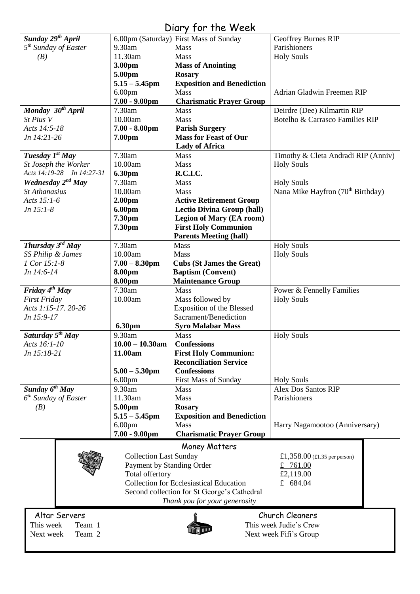## Diary for the Week

|                                  |                               | UNIY JUI IIIG WUGU                             |                                                           |  |
|----------------------------------|-------------------------------|------------------------------------------------|-----------------------------------------------------------|--|
| Sunday 29 <sup>th</sup> April    |                               | 6.00pm (Saturday) First Mass of Sunday         | Geoffrey Burnes RIP                                       |  |
| 5 <sup>th</sup> Sunday of Easter | 9.30am                        | Mass                                           | Parishioners                                              |  |
| (B)                              | 11.30am                       | <b>Mass</b>                                    | <b>Holy Souls</b>                                         |  |
|                                  | 3.00pm                        | <b>Mass of Anointing</b>                       |                                                           |  |
|                                  | 5.00pm                        | <b>Rosary</b>                                  |                                                           |  |
|                                  | $5.15 - 5.45$ pm              |                                                |                                                           |  |
|                                  |                               | <b>Exposition and Benediction</b>              |                                                           |  |
|                                  | 6.00 <sub>pm</sub>            | <b>Mass</b>                                    | Adrian Gladwin Freemen RIP                                |  |
|                                  | $7.00 - 9.00$ pm              | <b>Charismatic Prayer Group</b>                |                                                           |  |
| Monday 30 <sup>th</sup> April    | 7.30am                        | <b>Mass</b>                                    | Deirdre (Dee) Kilmartin RIP                               |  |
| St Pius V                        | 10.00am                       | <b>Mass</b>                                    | Botelho & Carrasco Families RIP                           |  |
| Acts 14:5-18                     | $7.00 - 8.00$ pm              | <b>Parish Surgery</b>                          |                                                           |  |
| Jn 14:21-26                      | 7.00pm                        | <b>Mass for Feast of Our</b>                   |                                                           |  |
|                                  |                               | <b>Lady of Africa</b>                          |                                                           |  |
| Tuesday 1st May                  | 7.30am                        | <b>Mass</b>                                    | Timothy & Cleta Andradi RIP (Anniv)                       |  |
| St Joseph the Worker             | 10.00am                       | Mass                                           | <b>Holy Souls</b>                                         |  |
| Acts 14:19-28 Jn 14:27-31        |                               |                                                |                                                           |  |
|                                  | 6.30pm                        | R.C.I.C.                                       |                                                           |  |
| Wednesday 2 <sup>nd</sup> May    | 7.30am                        | <b>Mass</b>                                    | <b>Holy Souls</b>                                         |  |
| <b>St Athanasius</b>             | 10.00am                       | Mass                                           | Nana Mike Hayfron (70 <sup>th</sup> Birthday)             |  |
| Acts 15:1-6                      | 2.00 <sub>pm</sub>            | <b>Active Retirement Group</b>                 |                                                           |  |
| Jn 15:1-8                        | 6.00pm                        | <b>Lectio Divina Group (hall)</b>              |                                                           |  |
|                                  | 7.30pm                        | <b>Legion of Mary (EA room)</b>                |                                                           |  |
|                                  | 7.30pm                        | <b>First Holy Communion</b>                    |                                                           |  |
|                                  |                               | <b>Parents Meeting (hall)</b>                  |                                                           |  |
| Thursday 3rd May                 | 7.30am                        | Mass                                           | <b>Holy Souls</b>                                         |  |
| SS Philip & James                | 10.00am                       | Mass                                           | <b>Holy Souls</b>                                         |  |
|                                  |                               |                                                |                                                           |  |
| 1 Cor 15:1-8                     | $7.00 - 8.30$ pm              | <b>Cubs (St James the Great)</b>               |                                                           |  |
| Jn 14:6-14                       | 8.00pm                        | <b>Baptism (Convent)</b>                       |                                                           |  |
|                                  | 8.00pm                        | <b>Maintenance Group</b>                       |                                                           |  |
| Friday $4^{th}$ May              | 7.30am                        | <b>Mass</b>                                    | Power & Fennelly Families                                 |  |
| <b>First Friday</b>              | 10.00am                       | Mass followed by                               | <b>Holy Souls</b>                                         |  |
| Acts 1:15-17. 20-26              |                               | <b>Exposition of the Blessed</b>               |                                                           |  |
| Jn 15:9-17                       |                               | Sacrament/Benediction                          |                                                           |  |
|                                  | 6.30pm                        | <b>Syro Malabar Mass</b>                       |                                                           |  |
| Saturday 5 <sup>th</sup> May     | 9.30am                        | Mass                                           | <b>Holy Souls</b>                                         |  |
| Acts 16:1-10                     | $10.00 - 10.30$ am            | <b>Confessions</b>                             |                                                           |  |
| Jn 15:18-21                      | 11.00am                       |                                                |                                                           |  |
|                                  |                               | <b>First Holy Communion:</b>                   |                                                           |  |
|                                  |                               | <b>Reconciliation Service</b>                  |                                                           |  |
|                                  | $5.00 - 5.30$ pm              | <b>Confessions</b>                             |                                                           |  |
|                                  | 6.00 <sub>pm</sub>            | <b>First Mass of Sunday</b>                    | <b>Holy Souls</b>                                         |  |
| Sunday 6 <sup>th</sup> May       | 9.30am                        | Mass                                           | <b>Alex Dos Santos RIP</b>                                |  |
| 6 <sup>th</sup> Sunday of Easter | 11.30am                       | Mass                                           | Parishioners                                              |  |
| (B)                              | 5.00pm                        | <b>Rosary</b>                                  |                                                           |  |
|                                  | $5.15 - 5.45$ pm              | <b>Exposition and Benediction</b>              |                                                           |  |
|                                  | 6.00 <sub>pm</sub>            | <b>Mass</b>                                    | Harry Nagamootoo (Anniversary)                            |  |
|                                  | $7.00 - 9.00$ pm              | <b>Charismatic Prayer Group</b>                |                                                           |  |
|                                  |                               |                                                |                                                           |  |
|                                  |                               | Money Matters                                  |                                                           |  |
|                                  | <b>Collection Last Sunday</b> |                                                | £1,358.00 $(\text{\textsterling}1.35 \text{ per person})$ |  |
|                                  | Payment by Standing Order     |                                                | £ 761.00                                                  |  |
|                                  | Total offertory               |                                                | £2,119.00                                                 |  |
|                                  |                               | <b>Collection for Ecclesiastical Education</b> | £ 684.04                                                  |  |
|                                  |                               | Second collection for St George's Cathedral    |                                                           |  |
|                                  |                               |                                                |                                                           |  |
|                                  |                               | Thank you for your generosity                  |                                                           |  |
| Church Cleaners<br>Altar Servers |                               |                                                |                                                           |  |
| This week<br>Team 1              |                               |                                                | This week Judie's Crew                                    |  |
|                                  | Next week Fifi's Group        |                                                |                                                           |  |
| Team 2<br>Next week              |                               |                                                |                                                           |  |
|                                  |                               |                                                |                                                           |  |

 $\overline{\phantom{a}}$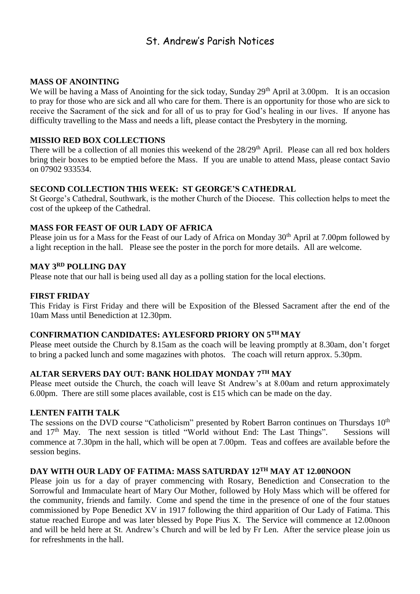## St. Andrew's Parish Notices

#### **MASS OF ANOINTING**

We will be having a Mass of Anointing for the sick today, Sunday 29<sup>th</sup> April at 3.00pm. It is an occasion to pray for those who are sick and all who care for them. There is an opportunity for those who are sick to receive the Sacrament of the sick and for all of us to pray for God's healing in our lives. If anyone has difficulty travelling to the Mass and needs a lift, please contact the Presbytery in the morning.

### **MISSIO RED BOX COLLECTIONS**

There will be a collection of all monies this weekend of the 28/29<sup>th</sup> April. Please can all red box holders bring their boxes to be emptied before the Mass. If you are unable to attend Mass, please contact Savio on 07902 933534.

### **SECOND COLLECTION THIS WEEK: ST GEORGE'S CATHEDRAL**

St George's Cathedral, Southwark, is the mother Church of the Diocese. This collection helps to meet the cost of the upkeep of the Cathedral.

### **MASS FOR FEAST OF OUR LADY OF AFRICA**

Please join us for a Mass for the Feast of our Lady of Africa on Monday 30<sup>th</sup> April at 7.00pm followed by a light reception in the hall. Please see the poster in the porch for more details. All are welcome.

## **MAY 3RD POLLING DAY**

Please note that our hall is being used all day as a polling station for the local elections.

### **FIRST FRIDAY**

This Friday is First Friday and there will be Exposition of the Blessed Sacrament after the end of the 10am Mass until Benediction at 12.30pm.

## **CONFIRMATION CANDIDATES: AYLESFORD PRIORY ON 5TH MAY**

Please meet outside the Church by 8.15am as the coach will be leaving promptly at 8.30am, don't forget to bring a packed lunch and some magazines with photos. The coach will return approx. 5.30pm.

## **ALTAR SERVERS DAY OUT: BANK HOLIDAY MONDAY 7TH MAY**

Please meet outside the Church, the coach will leave St Andrew's at 8.00am and return approximately 6.00pm. There are still some places available, cost is £15 which can be made on the day.

#### **LENTEN FAITH TALK**

The sessions on the DVD course "Catholicism" presented by Robert Barron continues on Thursdays 10<sup>th</sup> and 17<sup>th</sup> May. The next session is titled "World without End: The Last Things". Sessions will commence at 7.30pm in the hall, which will be open at 7.00pm. Teas and coffees are available before the session begins.

#### **DAY WITH OUR LADY OF FATIMA: MASS SATURDAY 12TH MAY AT 12.00NOON**

Please join us for a day of prayer commencing with Rosary, Benediction and Consecration to the Sorrowful and Immaculate heart of Mary Our Mother, followed by Holy Mass which will be offered for the community, friends and family. Come and spend the time in the presence of one of the four statues commissioned by Pope Benedict XV in 1917 following the third apparition of Our Lady of Fatima. This statue reached Europe and was later blessed by Pope Pius X. The Service will commence at 12.00noon and will be held here at St. Andrew's Church and will be led by Fr Len. After the service please join us for refreshments in the hall.